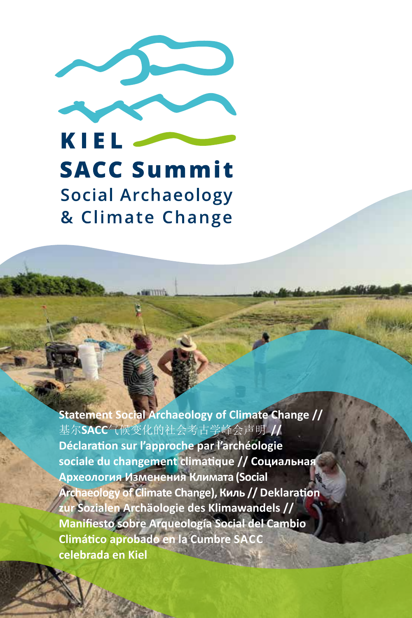

KIEL **SACC Summit Social Archaeology** & Climate Change

**WITTER** 

**Statement Social Archaeology of Climate Change //** 基尔**SACC**气候变化的社会考古学峰会声明 **// Déclaration sur l'approche par l'archéologie sociale du changement climatique // Социальная Археология Изменения Климата (Social Archaeology of Climate Change), Киль // Deklaration zur Sozialen Archäologie des Klimawandels // Manifiesto sobre Arqueología Social del Cambio Climático aprobado en la Cumbre SACC celebrada en Kiel**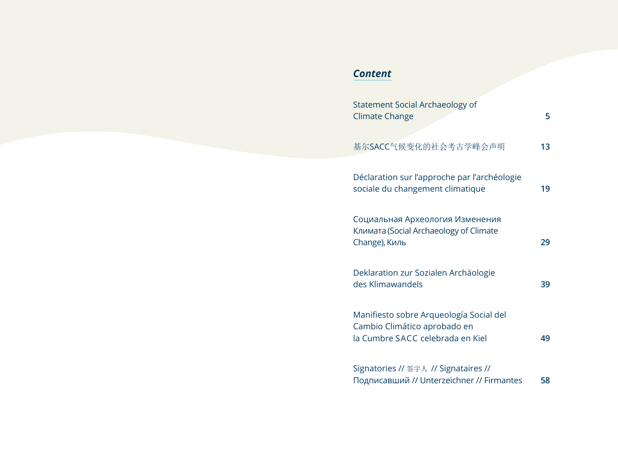## *Content*

| <b>Statement Social Archaeology of</b><br><b>Climate Change</b>                                             | 5  |
|-------------------------------------------------------------------------------------------------------------|----|
| 基尔SACC气候变化的社会考古学峰会声明                                                                                        | 13 |
| Déclaration sur l'approche par l'archéologie<br>sociale du changement climatique                            | 19 |
| Социальная Археология Изменения<br>Климата (Social Archaeology of Climate<br>Change), Киль                  | 29 |
| Deklaration zur Sozialen Archäologie<br>des Klimawandels                                                    | 39 |
| Manifiesto sobre Arqueología Social del<br>Cambio Climático aprobado en<br>la Cumbre SACC celebrada en Kiel | 49 |
| Signatories // 签字人 // Signataires //<br>Подписавший // Unterzeichner // Firmantes                           | 58 |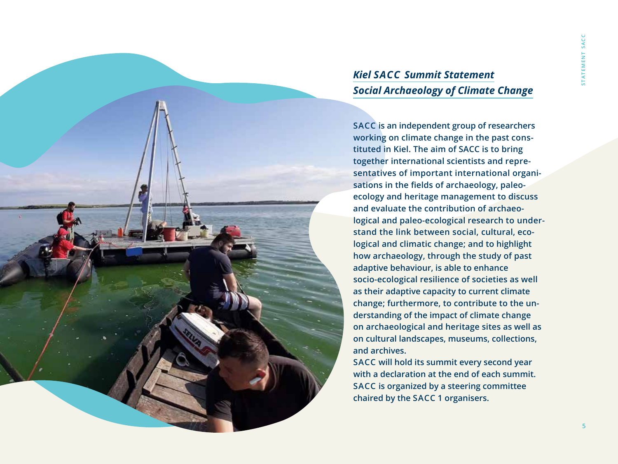# *Kiel SACC Summit Statement Social Archaeology of Climate Change*

**SACC is an independent group of researchers working on climate change in the past constituted in Kiel. The aim of SACC is to bring together international scientists and representatives of important international organisations in the fields of archaeology, paleoecology and heritage management to discuss and evaluate the contribution of archaeological and paleo-ecological research to understand the link between social, cultural, ecological and climatic change; and to highlight how archaeology, through the study of past adaptive behaviour, is able to enhance socio-ecological resilience of societies as well as their adaptive capacity to current climate change; furthermore, to contribute to the understanding of the impact of climate change on archaeological and heritage sites as well as on cultural landscapes, museums, collections, and archives.**

**SACC will hold its summit every second year with a declaration at the end of each summit. SACC is organized by a steering committee chaired by the SACC 1 organisers.**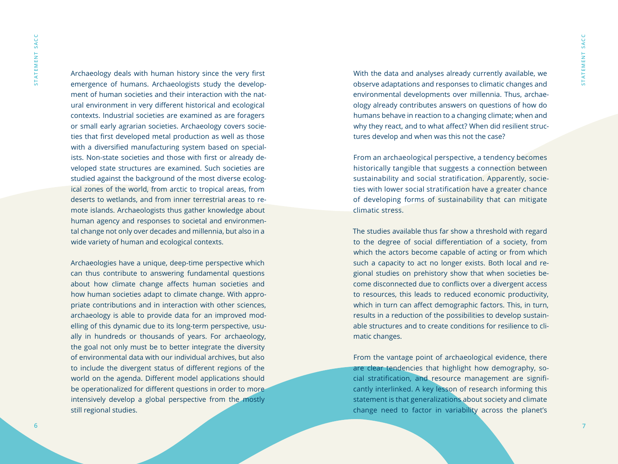Archaeology deals with human history since the very first emergence of humans. Archaeologists study the development of human societies and their interaction with the natural environment in very different historical and ecological contexts. Industrial societies are examined as are foragers or small early agrarian societies. Archaeology covers societies that first developed metal production as well as those with a diversified manufacturing system based on specialists. Non-state societies and those with first or already developed state structures are examined. Such societies are studied against the background of the most diverse ecological zones of the world, from arctic to tropical areas, from deserts to wetlands, and from inner terrestrial areas to remote islands. Archaeologists thus gather knowledge about human agency and responses to societal and environmental change not only over decades and millennia, but also in a wide variety of human and ecological contexts.

Archaeologies have a unique, deep-time perspective which can thus contribute to answering fundamental questions about how climate change affects human societies and how human societies adapt to climate change. With appropriate contributions and in interaction with other sciences, archaeology is able to provide data for an improved modelling of this dynamic due to its long-term perspective, usually in hundreds or thousands of years. For archaeology, the goal not only must be to better integrate the diversity of environmental data with our individual archives, but also to include the divergent status of different regions of the world on the agenda. Different model applications should be operationalized for different questions in order to more intensively develop a global perspective from the mostly still regional studies.

With the data and analyses already currently available, we observe adaptations and responses to climatic changes and environmental developments over millennia. Thus, archaeology already contributes answers on questions of how do humans behave in reaction to a changing climate; when and why they react, and to what affect? When did resilient structures develop and when was this not the case?

From an archaeological perspective, a tendency becomes historically tangible that suggests a connection between sustainability and social stratification. Apparently, societies with lower social stratification have a greater chance of developing forms of sustainability that can mitigate climatic stress.

The studies available thus far show a threshold with regard to the degree of social differentiation of a society, from which the actors become capable of acting or from which such a capacity to act no longer exists. Both local and regional studies on prehistory show that when societies become disconnected due to conflicts over a divergent access to resources, this leads to reduced economic productivity, which in turn can affect demographic factors. This, in turn, results in a reduction of the possibilities to develop sustainable structures and to create conditions for resilience to climatic changes.

From the vantage point of archaeological evidence, there are clear tendencies that highlight how demography, social stratification, and resource management are significantly interlinked. A key lesson of research informing this statement is that generalizations about society and climate change need to factor in variability across the planet's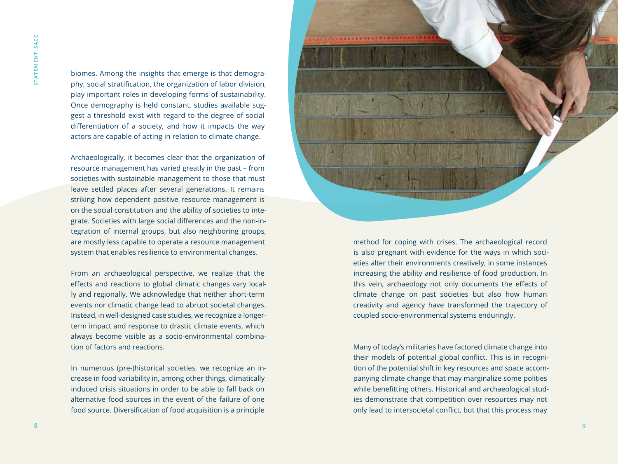biomes. Among the insights that emerge is that demography, social stratification, the organization of labor division, play important roles in developing forms of sustainability. Once demography is held constant, studies available suggest a threshold exist with regard to the degree of social differentiation of a society, and how it impacts the way actors are capable of acting in relation to climate change.

Archaeologically, it becomes clear that the organization of resource management has varied greatly in the past – from societies with sustainable management to those that must leave settled places after several generations. It remains striking how dependent positive resource management is on the social constitution and the ability of societies to integrate. Societies with large social differences and the non-integration of internal groups, but also neighboring groups, are mostly less capable to operate a resource management system that enables resilience to environmental changes.

From an archaeological perspective, we realize that the effects and reactions to global climatic changes vary locally and regionally. We acknowledge that neither short-term events nor climatic change lead to abrupt societal changes. Instead, in well-designed case studies, we recognize a longerterm impact and response to drastic climate events, which always become visible as a socio-environmental combination of factors and reactions.

In numerous (pre-)historical societies, we recognize an increase in food variability in, among other things, climatically induced crisis situations in order to be able to fall back on alternative food sources in the event of the failure of one food source. Diversification of food acquisition is a principle



method for coping with crises. The archaeological record is also pregnant with evidence for the ways in which societies alter their environments creatively, in some instances increasing the ability and resilience of food production. In this vein, archaeology not only documents the effects of climate change on past societies but also how human creativity and agency have transformed the trajectory of coupled socio-environmental systems enduringly.

Many of today's militaries have factored climate change into their models of potential global conflict. This is in recognition of the potential shift in key resources and space accompanying climate change that may marginalize some polities while benefitting others. Historical and archaeological studies demonstrate that competition over resources may not only lead to intersocietal conflict, but that this process may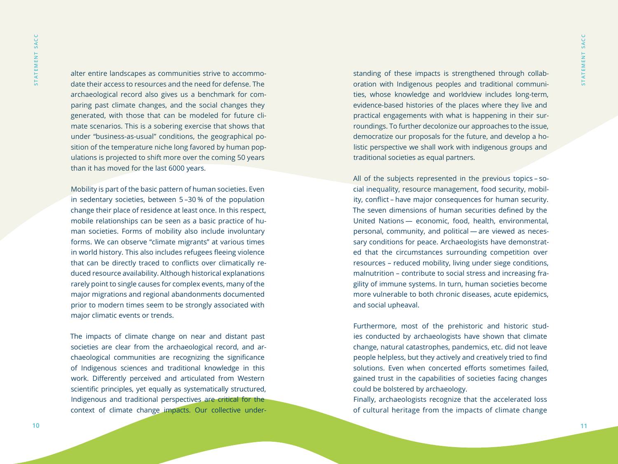alter entire landscapes as communities strive to accommodate their access to resources and the need for defense. The archaeological record also gives us a benchmark for comparing past climate changes, and the social changes they generated, with those that can be modeled for future climate scenarios. This is a sobering exercise that shows that under "business-as-usual" conditions, the geographical position of the temperature niche long favored by human populations is projected to shift more over the coming 50 years than it has moved for the last 6000 years.

Mobility is part of the basic pattern of human societies. Even in sedentary societies, between 5 –30 % of the population change their place of residence at least once. In this respect, mobile relationships can be seen as a basic practice of human societies. Forms of mobility also include involuntary forms. We can observe "climate migrants" at various times in world history. This also includes refugees fleeing violence that can be directly traced to conflicts over climatically reduced resource availability. Although historical explanations rarely point to single causes for complex events, many of the major migrations and regional abandonments documented prior to modern times seem to be strongly associated with major climatic events or trends.

The impacts of climate change on near and distant past societies are clear from the archaeological record, and archaeological communities are recognizing the significance of Indigenous sciences and traditional knowledge in this work. Differently perceived and articulated from Western scientific principles, yet equally as systematically structured, Indigenous and traditional perspectives are critical for the context of climate change impacts. Our collective understanding of these impacts is strengthened through collaboration with Indigenous peoples and traditional communities, whose knowledge and worldview includes long-term, evidence-based histories of the places where they live and practical engagements with what is happening in their surroundings. To further decolonize our approaches to the issue, democratize our proposals for the future, and develop a holistic perspective we shall work with indigenous groups and traditional societies as equal partners.

All of the subjects represented in the previous topics – social inequality, resource management, food security, mobility, conflict – have major consequences for human security. The seven dimensions of human securities defined by the United Nations — economic, food, health, environmental, personal, community, and political — are viewed as necessary conditions for peace. Archaeologists have demonstrated that the circumstances surrounding competition over resources – reduced mobility, living under siege conditions, malnutrition – contribute to social stress and increasing fragility of immune systems. In turn, human societies become more vulnerable to both chronic diseases, acute epidemics, and social upheaval.

Furthermore, most of the prehistoric and historic studies conducted by archaeologists have shown that climate change, natural catastrophes, pandemics, etc. did not leave people helpless, but they actively and creatively tried to find solutions. Even when concerted efforts sometimes failed, gained trust in the capabilities of societies facing changes could be bolstered by archaeology.

Finally, archaeologists recognize that the accelerated loss of cultural heritage from the impacts of climate change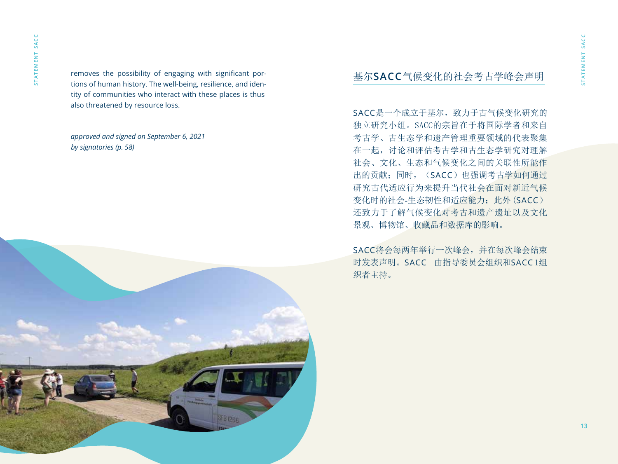removes the possibility of engaging with significant portions of human history. The well-being, resilience, and identity of communities who interact with these places is thus also threatened by resource loss.

*approved and signed on September 6, 2021 by signatories (p. 58)*



## 基尔**SACC**气候变化的社会考古学峰会声明

SACC是一个成立于基尔,致力于古气候变化研究的 独立研究小组。SACC的宗旨在于将国际学者和来自 考古学、古生态学和遗产管理重要领域的代表聚集 在一起,讨论和评估考古学和古生态学研究对理解 社会、文化、生态和气候变化之间的关联性所能作 出的贡献;同时, (SACC)也强调考古学如何通过 研究古代适应行为来提升当代社会在面对新近气候 变化时的社会-生态韧性和适应能力;此外(SACC) 还致力于了解气候变化对考古和遗产遗址以及文化 景观、博物馆、收藏品和数据库的影响。

SACC将会每两年举行一次峰会,并在每次峰会结束 时发表声明。SACC 由指导委员会组织和SACC 1组 织者主持。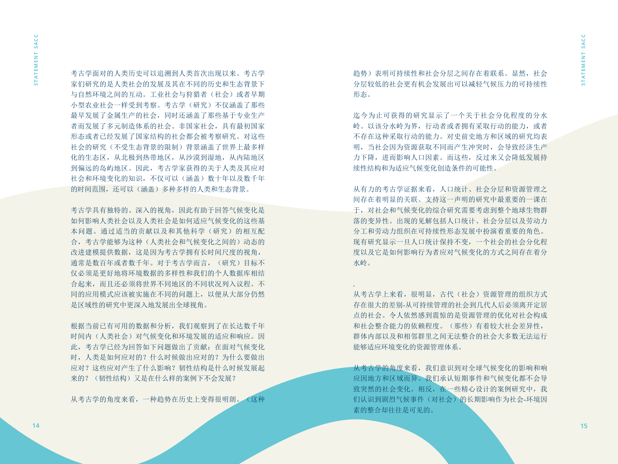考古学面对的人类历史可以追溯到人类首次出现以来。考古学 家们研究的是人类社会的发展及其在不同的历史和生态背景下 与自然环境之间的互动。工业社会与狩猎者(社会)或者早期 小型农业社会一样受到考察。考古学(研究)不仅涵盖了那些 最早发展了金属生产的社会,同时还涵盖了那些基于专业生产 者而发展了多元制造体系的社会。非国家社会,具有最初国家 形态或者已经发展了国家结构的社会都会被考察研究。对这些 社会的研究(不受生态背景的限制)背景涵盖了世界上最多样 化的生态区,从北极到热带地区,从沙漠到湿地,从内陆地区 到偏远的岛屿地区。因此,考古学家获得的关于人类及其应对 社会和环境变化的知识,不仅可以(涵盖)数十年以及数千年 的时间范围,还可以(涵盖)多种多样的人类和生态背景。

考古学具有独特的、深入的视角,因此有助于回答气候变化是 如何影响人类社会以及人类社会是如何适应气候变化的这些基 本问题。通过适当的贡献以及和其他科学(研究)的相互配 合,考古学能够为这种(人类社会和气候变化之间的)动态的 改进建模提供数据,这是因为考古学拥有长时间尺度的视角, 通常是数百年或者数千年。对于考古学而言, (研究)目标不 仅必须是更好地将环境数据的多样性和我们的个人数据库相结 合起来,而且还必须将世界不同地区的不同状况列入议程。不 同的应用模式应该被实施在不同的问题上,以便从大部分仍然 是区域性的研究中更深入地发展出全球视角。

根据当前已有可用的数据和分析,我们观察到了在长达数千年 时间内(人类社会)对气候变化和环境发展的适应和响应。因 此,考古学已经为回答如下问题做出了贡献:在面对气候变化 时,人类是如何应对的?什么时候做出应对的?为什么要做出 应对?这些应对产生了什么影响?韧性结构是什么时候发展起 来的? (韧性结构)又是在什么样的案例下不会发展?

从考古学的角度来看,一种趋势在历史上变得很明朗。(这种

趋势)表明可持续性和社会分层之间存在着联系。显然,社会 分层较低的社会更有机会发展出可以减轻气候压力的可持续性 形态。

迄今为止可获得的研究显示了一个关于社会分化程度的分水 岭。以该分水岭为界,行动者或者拥有采取行动的能力,或者 不存在这种采取行动的能力。对史前史地方和区域的研究均表 明,当社会因为资源获取不同而产生冲突时,会导致经济生产 力下降,进而影响人口因素。而这些,反过来又会降低发展持 续性结构和为适应气候变化创造条件的可能性。

从有力的考古学证据来看,人口统计、社会分层和资源管理之 间存在着明显的关联。支持这一声明的研究中最重要的一课在 于,对社会和气候变化的综合研究需要考虑到整个地球生物群 落的变异性。出现的见解包括人口统计、社会分层以及劳动力 分工和劳动力组织在可持续性形态发展中扮演着重要的角色。 现有研究显示一旦人口统计保持不变,一个社会的社会分化程 度以及它是如何影响行为者应对气候变化的方式之间存在着分 水岭。

从考古学上来看,很明显,古代(社会)资源管理的组织方式 存在很大的差别-从可持续管理的社会到几代人后必须离开定居 点的社会。令人依然感到震惊的是资源管理的优化对社会构成 和社会整合能力的依赖程度。(那些)有着较大社会差异性, 群体内部以及和相邻群里之间无法整合的社会大多数无法运行 能够适应环境变化的资源管理体系。

.

从考古学的角度来看,我们意识到对全球气候变化的影响和响 应因地方和区域而异。我们承认短期事件和气候变化都不会导 致突然的社会变化。相反,在一些精心设计的案例研究中,我 们认识到剧烈气候事件(对社会)的长期影响作为社会-环境因 素的整合却往往是可见的。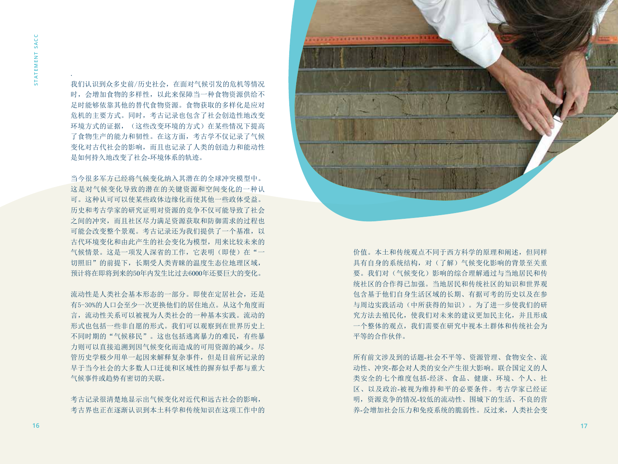.

我们认识到众多史前/历史社会,在面对气候引发的危机等情况 时,会增加食物的多样性,以此来保障当一种食物资源供给不 足时能够依靠其他的替代食物资源。食物获取的多样化是应对 危机的主要方式。同时,考古记录也包含了社会创造性地改变 环境方式的证据, (这些改变环境的方式) 在某些情况下提高 了食物生产的能力和韧性。在这方面,考古学不仅记录了气候 变化对古代社会的影响,而且也记录了人类的创造力和能动性 是如何持久地改变了社会-环境体系的轨迹。

当今很多军方已经将气候变化纳入其潜在的全球冲突模型中。 这是对气候变化导致的潜在的关键资源和空间变化的一种认 可。这种认可可以使某些政体边缘化而使其他一些政体受益。 历史和考古学家的研究证明对资源的竞争不仅可能导致了社会 之间的冲突,而且社区尽力满足资源获取和防御需求的过程也 可能会改变整个景观。考古记录还为我们提供了一个基准,以 古代环境变化和由此产生的社会变化为模型,用来比较未来的 气候情景。这是一项发人深省的工作,它表明(即使)在"一 切照旧"的前提下,长期受人类青睐的温度生态位地理区域, 预计将在即将到来的50年内发生比过去6000年还要巨大的变化。

流动性是人类社会基本形态的一部分。即使在定居社会,还是 有5-30%的人口会至少一次更换他们的居住地点。从这个角度而 言,流动性关系可以被视为人类社会的一种基本实践。流动的 形式也包括一些非自愿的形式。我们可以观察到在世界历史上 不同时期的"气候移民"。这也包括逃离暴力的难民,有些暴 力则可以直接追溯到因气候变化而造成的可用资源的减少。尽 管历史学极少用单一起因来解释复杂事件,但是目前所记录的 早于当今社会的大多数人口迁徙和区域性的摒弃似乎都与重大 气候事件或趋势有密切的关联。

考古记录很清楚地显示出气候变化对近代和远古社会的影响, 考古界也正在逐渐认识到本土科学和传统知识在这项工作中的



价值。本土和传统观点不同于西方科学的原理和阐述,但同样 具有自身的系统结构,对(了解)气候变化影响的背景至关重 要。我们对(气候变化)影响的综合理解通过与当地居民和传 统社区的合作得已加强。当地居民和传统社区的知识和世界观 包含基于他们自身生活区域的长期、有据可考的历史以及在参 与周边实践活动(中所获得的知识)。为了进一步使我们的研 究方法去殖民化,使我们对未来的建议更加民主化,并且形成 一个整体的观点,我们需要在研究中视本土群体和传统社会为 平等的合作伙伴。

所有前文涉及到的话题-社会不平等、资源管理、食物安全、流 动性、冲突-都会对人类的安全产生很大影响。联合国定义的人 类安全的七个维度包括-经济、食品、健康、环境、个人、社 区、以及政治-被视为维持和平的必要条件。考古学家已经证 明,资源竞争的情况-较低的流动性、围城下的生活、不良的营 养-会增加社会压力和免疫系统的脆弱性。反过来,人类社会变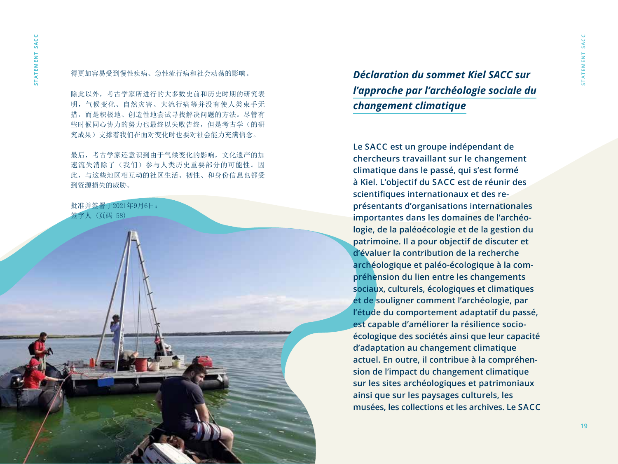**s t a t e m e n t s a c c**

**STATEMENT SACC** 

### 得更加容易受到慢性疾病、急性流行病和社会动荡的影响。

除此以外,考古学家所进行的大多数史前和历史时期的研究表 明,气候变化、自然灾害、大流行病等并没有使人类束手无 措,而是积极地、创造性地尝试寻找解决问题的方法。尽管有 些时候同心协力的努力也最终以失败告终,但是考古学(的研 究成果)支撑着我们在面对变化时也要对社会能力充满信念。

最后,考古学家还意识到由于气候变化的影响,文化遗产的加 速流失消除了(我们)参与人类历史重要部分的可能性。因 此,与这些地区相互动的社区生活、韧性、和身份信息也都受 到资源损失的威胁。

批准并签署于2021年9月6日: 签字人 (页码 58)

*Déclaration du sommet Kiel SACC sur l'approche par l'archéologie sociale du changement climatique*

**Le SACC est un groupe indépendant de chercheurs travaillant sur le changement climatique dans le passé, qui s'est formé à Kiel. L'objectif du SACC est de réunir des scientifiques internationaux et des représentants d'organisations internationales importantes dans les domaines de l'archéologie, de la paléoécologie et de la gestion du patrimoine. Il a pour objectif de discuter et d'évaluer la contribution de la recherche archéologique et paléo-écologique à la compréhension du lien entre les changements sociaux, culturels, écologiques et climatiques et de souligner comment l'archéologie, par l'étude du comportement adaptatif du passé, est capable d'améliorer la résilience socioécologique des sociétés ainsi que leur capacité d'adaptation au changement climatique actuel. En outre, il contribue à la compréhen sion de l'impact du changement climatique sur les sites archéologiques et patrimoniaux ainsi que sur les paysages culturels, les musées, les collections et les archives. Le SACC**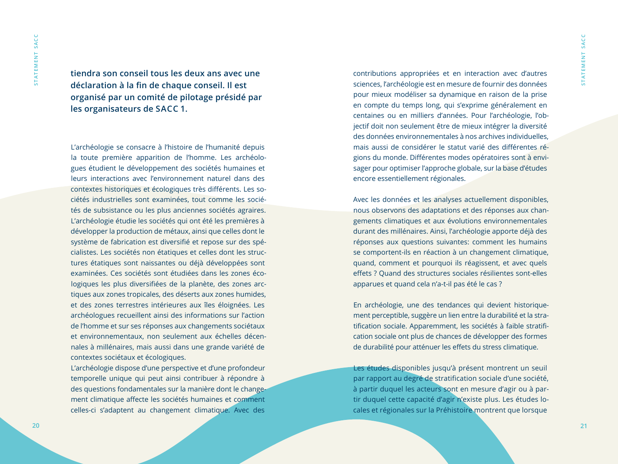**tiendra son conseil tous les deux ans avec une déclaration à la fin de chaque conseil. Il est organisé par un comité de pilotage présidé par les organisateurs de SACC 1.**

L'archéologie se consacre à l'histoire de l'humanité depuis la toute première apparition de l'homme. Les archéologues étudient le développement des sociétés humaines et leurs interactions avec l'environnement naturel dans des contextes historiques et écologiques très différents. Les sociétés industrielles sont examinées, tout comme les sociétés de subsistance ou les plus anciennes sociétés agraires. L'archéologie étudie les sociétés qui ont été les premières à développer la production de métaux, ainsi que celles dont le système de fabrication est diversifié et repose sur des spécialistes. Les sociétés non étatiques et celles dont les structures étatiques sont naissantes ou déjà développées sont examinées. Ces sociétés sont étudiées dans les zones écologiques les plus diversifiées de la planète, des zones arctiques aux zones tropicales, des déserts aux zones humides, et des zones terrestres intérieures aux îles éloignées. Les archéologues recueillent ainsi des informations sur l'action de l'homme et sur ses réponses aux changements sociétaux et environnementaux, non seulement aux échelles décennales à millénaires, mais aussi dans une grande variété de contextes sociétaux et écologiques.

L'archéologie dispose d'une perspective et d'une profondeur temporelle unique qui peut ainsi contribuer à répondre à des questions fondamentales sur la manière dont le changement climatique affecte les sociétés humaines et comment celles-ci s'adaptent au changement climatique. Avec des

contributions appropriées et en interaction avec d'autres sciences, l'archéologie est en mesure de fournir des données pour mieux modéliser sa dynamique en raison de la prise en compte du temps long, qui s'exprime généralement en centaines ou en milliers d'années. Pour l'archéologie, l'objectif doit non seulement être de mieux intégrer la diversité des données environnementales à nos archives individuelles, mais aussi de considérer le statut varié des différentes régions du monde. Différentes modes opératoires sont à envisager pour optimiser l'approche globale, sur la base d'études encore essentiellement régionales.

Avec les données et les analyses actuellement disponibles, nous observons des adaptations et des réponses aux changements climatiques et aux évolutions environnementales durant des millénaires. Ainsi, l'archéologie apporte déjà des réponses aux questions suivantes: comment les humains se comportent-ils en réaction à un changement climatique, quand, comment et pourquoi ils réagissent, et avec quels effets ? Quand des structures sociales résilientes sont-elles apparues et quand cela n'a-t-il pas été le cas ?

En archéologie, une des tendances qui devient historiquement perceptible, suggère un lien entre la durabilité et la stratification sociale. Apparemment, les sociétés à faible stratification sociale ont plus de chances de développer des formes de durabilité pour atténuer les effets du stress climatique.

Les études disponibles jusqu'à présent montrent un seuil par rapport au degré de stratification sociale d'une société, à partir duquel les acteurs sont en mesure d'agir ou à partir duquel cette capacité d'agir n'existe plus. Les études locales et régionales sur la Préhistoire montrent que lorsque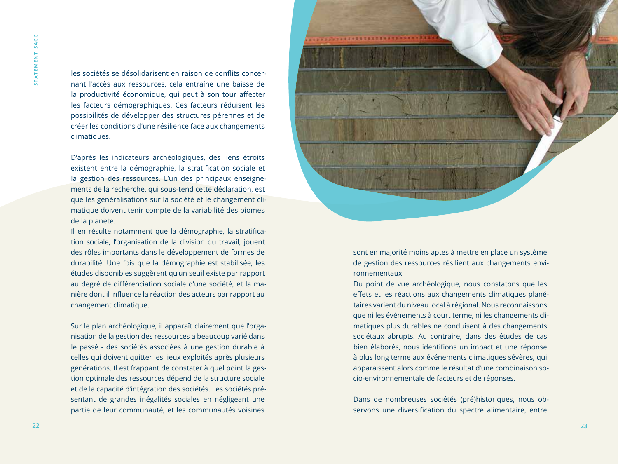les sociétés se désolidarisent en raison de conflits concernant l'accès aux ressources, cela entraîne une baisse de la productivité économique, qui peut à son tour affecter les facteurs démographiques. Ces facteurs réduisent les possibilités de développer des structures pérennes et de créer les conditions d'une résilience face aux changements climatiques.

D'après les indicateurs archéologiques, des liens étroits existent entre la démographie, la stratification sociale et la gestion des ressources. L'un des principaux enseignements de la recherche, qui sous-tend cette déclaration, est que les généralisations sur la société et le changement climatique doivent tenir compte de la variabilité des biomes de la planète.

Il en résulte notamment que la démographie, la stratification sociale, l'organisation de la division du travail, jouent des rôles importants dans le développement de formes de durabilité. Une fois que la démographie est stabilisée, les études disponibles suggèrent qu'un seuil existe par rapport au degré de différenciation sociale d'une société, et la manière dont il influence la réaction des acteurs par rapport au changement climatique.

Sur le plan archéologique, il apparaît clairement que l'organisation de la gestion des ressources a beaucoup varié dans le passé - des sociétés associées à une gestion durable à celles qui doivent quitter les lieux exploités après plusieurs générations. Il est frappant de constater à quel point la gestion optimale des ressources dépend de la structure sociale et de la capacité d'intégration des sociétés. Les sociétés présentant de grandes inégalités sociales en négligeant une partie de leur communauté, et les communautés voisines,



sont en majorité moins aptes à mettre en place un système de gestion des ressources résilient aux changements environnementaux.

Du point de vue archéologique, nous constatons que les effets et les réactions aux changements climatiques planétaires varient du niveau local à régional. Nous reconnaissons que ni les événements à court terme, ni les changements climatiques plus durables ne conduisent à des changements sociétaux abrupts. Au contraire, dans des études de cas bien élaborés, nous identifions un impact et une réponse à plus long terme aux événements climatiques sévères, qui apparaissent alors comme le résultat d'une combinaison socio-environnementale de facteurs et de réponses.

Dans de nombreuses sociétés (pré)historiques, nous observons une diversification du spectre alimentaire, entre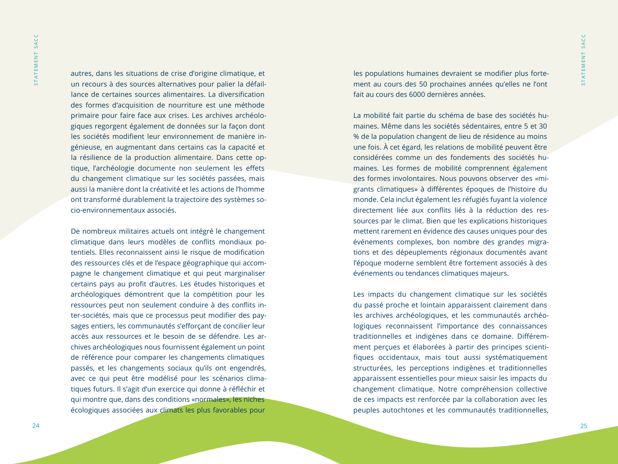SACC **s t a t e m e n t s a c c STATEMENT** 

autres, dans les situations de crise d'origine climatique, et un recours à des sources alternatives pour palier la défaillance de certaines sources alimentaires. La diversification des formes d'acquisition de nourriture est une méthode primaire pour faire face aux crises. Les archives archéologiques regorgent également de données sur la façon dont les sociétés modifient leur environnement de manière ingénieuse, en augmentant dans certains cas la capacité et la résilience de la production alimentaire. Dans cette optique, l'archéologie documente non seulement les effets du changement climatique sur les sociétés passées, mais aussi la manière dont la créativité et les actions de l'homme ont transformé durablement la trajectoire des systèmes socio-environnementaux associés.

De nombreux militaires actuels ont intégré le changement climatique dans leurs modèles de conflits mondiaux potentiels. Elles reconnaissent ainsi le risque de modification des ressources clés et de l'espace géographique qui accompagne le changement climatique et qui peut marginaliser certains pays au profit d'autres. Les études historiques et archéologiques démontrent que la compétition pour les ressources peut non seulement conduire à des conflits inter-sociétés, mais que ce processus peut modifier des paysages entiers, les communautés s'efforçant de concilier leur accès aux ressources et le besoin de se défendre. Les archives archéologiques nous fournissent également un point de référence pour comparer les changements climatiques passés, et les changements sociaux qu'ils ont engendrés, avec ce qui peut être modélisé pour les scénarios climatiques futurs. Il s'agit d'un exercice qui donne à réfléchir et qui montre que, dans des conditions «normales», les niches écologiques associées aux climats les plus favorables pour

les populations humaines devraient se modifier plus fortement au cours des 50 prochaines années qu'elles ne l'ont fait au cours des 6000 dernières années.

La mobilité fait partie du schéma de base des sociétés humaines. Même dans les sociétés sédentaires, entre 5 et 30 % de la population changent de lieu de résidence au moins une fois. À cet égard, les relations de mobilité peuvent être considérées comme un des fondements des sociétés humaines. Les formes de mobilité comprennent également des formes involontaires. Nous pouvons observer des «migrants climatiques» à différentes époques de l'histoire du monde. Cela inclut également les réfugiés fuyant la violence directement liée aux conflits liés à la réduction des ressources par le climat. Bien que les explications historiques mettent rarement en évidence des causes uniques pour des événements complexes, bon nombre des grandes migrations et des dépeuplements régionaux documentés avant l'époque moderne semblent être fortement associés à des événements ou tendances climatiques majeurs.

Les impacts du changement climatique sur les sociétés du passé proche et lointain apparaissent clairement dans les archives archéologiques, et les communautés archéologiques reconnaissent l'importance des connaissances traditionnelles et indigènes dans ce domaine. Différemment perçues et élaborées à partir des principes scientifiques occidentaux, mais tout aussi systématiquement structurées, les perceptions indigènes et traditionnelles apparaissent essentielles pour mieux saisir les impacts du changement climatique. Notre compréhension collective de ces impacts est renforcée par la collaboration avec les peuples autochtones et les communautés traditionnelles,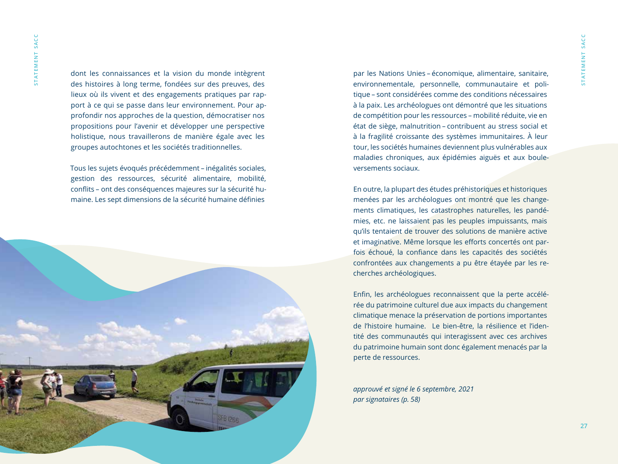dont les connaissances et la vision du monde intègrent des histoires à long terme, fondées sur des preuves, des lieux où ils vivent et des engagements pratiques par rapport à ce qui se passe dans leur environnement. Pour approfondir nos approches de la question, démocratiser nos propositions pour l'avenir et développer une perspective holistique, nous travaillerons de manière égale avec les groupes autochtones et les sociétés traditionnelles.

Tous les sujets évoqués précédemment – inégalités sociales, gestion des ressources, sécurité alimentaire, mobilité, conflits – ont des conséquences majeures sur la sécurité humaine. Les sept dimensions de la sécurité humaine définies



par les Nations Unies – économique, alimentaire, sanitaire, environnementale, personnelle, communautaire et politique – sont considérées comme des conditions nécessaires à la paix. Les archéologues ont démontré que les situations de compétition pour les ressources – mobilité réduite, vie en état de siège, malnutrition – contribuent au stress social et à la fragilité croissante des systèmes immunitaires. À leur tour, les sociétés humaines deviennent plus vulnérables aux maladies chroniques, aux épidémies aiguës et aux bouleversements sociaux.

En outre, la plupart des études préhistoriques et historiques menées par les archéologues ont montré que les changements climatiques, les catastrophes naturelles, les pandémies, etc. ne laissaient pas les peuples impuissants, mais qu'ils tentaient de trouver des solutions de manière active et imaginative. Même lorsque les efforts concertés ont parfois échoué, la confiance dans les capacités des sociétés confrontées aux changements a pu être étayée par les recherches archéologiques.

Enfin, les archéologues reconnaissent que la perte accélérée du patrimoine culturel due aux impacts du changement climatique menace la préservation de portions importantes de l'histoire humaine. Le bien-être, la résilience et l'identité des communautés qui interagissent avec ces archives du patrimoine humain sont donc également menacés par la perte de ressources.

*approuvé et signé le 6 septembre, 2021 par signataires (p. 58)*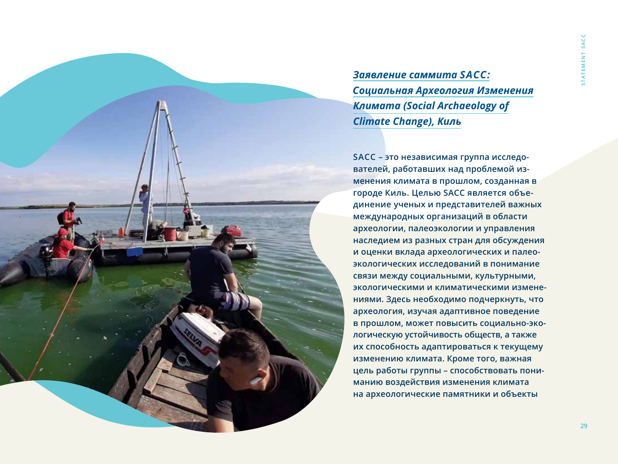

*Заявление саммита SACC: Социальная Археология Изменения Климата (Social Archaeology of Climate Change), Киль*

**SACC – это независимая группа исследователей, работавших над проблемой изменения климата в прошлом, созданная в городе Киль. Целью SACC является объединение ученых и представителей важных международных организаций в области археологии, палеоэкологии и управления наследием из разных стран для обсуждения и оценки вклада археологических и палеоэкологических исследований в понимание связи между социальными, культурными, экологическими и климатическими изменениями. Здесь необходимо подчеркнуть, что археология, изучая адаптивное поведение в прошлом, может повысить социально-экологическую устойчивость обществ, а также их способность адаптироваться к текущему изменению климата. Кроме того, важная цель работы группы – способствовать пониманию воздействия изменения климата на археологические памятники и объекты**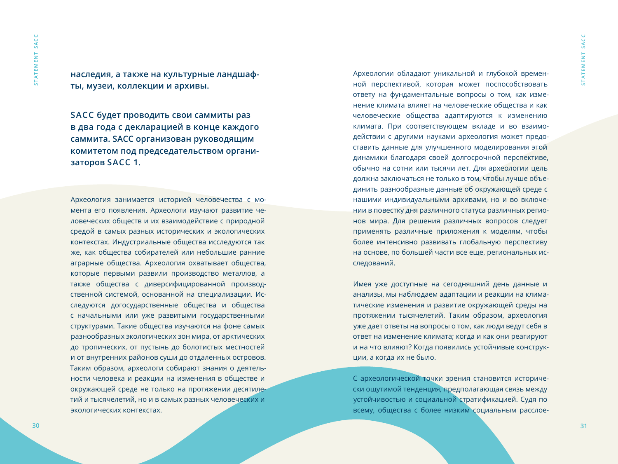**наследия, а также на культурные ландшафты, музеи, коллекции и архивы.**

**SACC будет проводить свои саммиты раз в два года с декларацией в конце каждого саммита. SACC организован руководящим комитетом под председательством организаторов SACC 1.**

Археология занимается историей человечества с момента его появления. Археологи изучают развитие человеческих обществ и их взаимодействие с природной средой в самых разных исторических и экологических контекстах. Индустриальные общества исследуются так же, как общества собирателей или небольшие ранние аграрные общества. Археология охватывает общества, которые первыми развили производство металлов, а также общества с диверсифицированной производственной системой, основанной на специализации. Исследуются догосударственные общества и общества с начальными или уже развитыми государственными структурами. Такие общества изучаются на фоне самых разнообразных экологических зон мира, от арктических до тропических, от пустынь до болотистых местностей и от внутренних районов суши до отдаленных островов. Таким образом, археологи собирают знания о деятельности человека и реакции на изменения в обществе и окружающей среде не только на протяжении десятилетий и тысячелетий, но и в самых разных человеческих и экологических контекстах.

Археологии обладают уникальной и глубокой временной перспективой, которая может поспособствовать ответу на фундаментальные вопросы о том, как изменение климата влияет на человеческие общества и как человеческие общества адаптируются к изменению климата. При соответствующем вкладе и во взаимодействии с другими науками археология может предоставить данные для улучшенного моделирования этой динамики благодаря своей долгосрочной перспективе, обычно на сотни или тысячи лет. Для археологии цель должна заключаться не только в том, чтобы лучше объединить разнообразные данные об окружающей среде с нашими индивидуальными архивами, но и во включении в повестку дня различного статуса различных регионов мира. Для решения различных вопросов следует применять различные приложения к моделям, чтобы более интенсивно развивать глобальную перспективу на основе, по большей части все еще, региональных исследований.

Имея уже доступные на сегодняшний день данные и анализы, мы наблюдаем адаптации и реакции на климатические изменения и развитие окружающей среды на протяжении тысячелетий. Таким образом, археология уже дает ответы на вопросы о том, как люди ведут себя в ответ на изменение климата; когда и как они реагируют и на что влияют? Когда появились устойчивые конструкции, а когда их не было.

С археологической точки зрения становится исторически ощутимой тенденция, предполагающая связь между устойчивостью и социальной стратификацией. Судя по всему, общества с более низким социальным расслое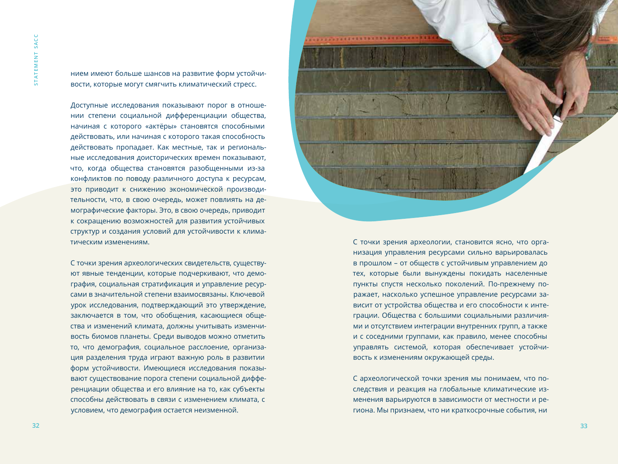нием имеют больше шансов на развитие форм устойчивости, которые могут смягчить климатический стресс.

Доступные исследования показывают порог в отношении степени социальной дифференциации общества, начиная с которого «актёры» становятся способными действовать, или начиная с которого такая способность действовать пропадает. Как местные, так и региональные исследования доисторических времен показывают, что, когда общества становятся разобщенными из-за конфликтов по поводу различного доступа к ресурсам, это приводит к снижению экономической производительности, что, в свою очередь, может повлиять на демографические факторы. Это, в свою очередь, приводит к сокращению возможностей для развития устойчивых структур и создания условий для устойчивости к климатическим изменениям.

С точки зрения археологических свидетельств, существуют явные тенденции, которые подчеркивают, что демография, социальная стратификация и управление ресурсами в значительной степени взаимосвязаны. Ключевой урок исследования, подтверждающий это утверждение, заключается в том, что обобщения, касающиеся общества и изменений климата, должны учитывать изменчивость биомов планеты. Среди выводов можно отметить то, что демография, социальное расслоение, организация разделения труда играют важную роль в развитии форм устойчивости. Имеющиеся исследования показывают существование порога степени социальной дифференциации общества и его влияние на то, как субъекты способны действовать в связи с изменением климата, с условием, что демография остается неизменной.

**s t a t e m e n t s a c c**

С точки зрения археологии, становится ясно, что организация управления ресурсами сильно варьировалась в прошлом – от обществ с устойчивым управлением до тех, которые были вынуждены покидать населенные пункты спустя несколько поколений. По-прежнему поражает, насколько успешное управление ресурсами зависит от устройства общества и его способности к интеграции. Общества с большими социальными различиями и отсутствием интеграции внутренних групп, а также и с соседними группами, как правило, менее способны управлять системой, которая обеспечивает устойчивость к изменениям окружающей среды.

С археологической точки зрения мы понимаем, что последствия и реакция на глобальные климатические изменения варьируются в зависимости от местности и региона. Мы признаем, что ни краткосрочные события, ни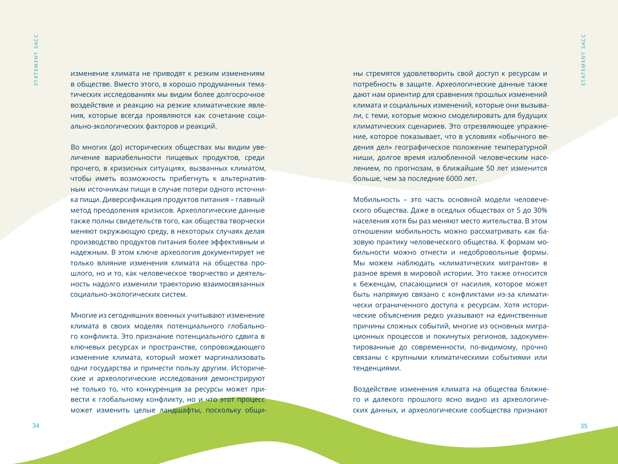изменение климата не приводят к резким изменениям в обществе. Вместо этого, в хорошо продуманных тематических исследованиях мы видим более долгосрочное воздействие и реакцию на резкие климатические явления, которые всегда проявляются как сочетание социально-экологических факторов и реакций.

Во многих (до) исторических обществах мы видим увеличение вариабельности пищевых продуктов, среди прочего, в кризисных ситуациях, вызванных климатом, чтобы иметь возможность прибегнуть к альтернативным источникам пищи в случае потери одного источника пищи. Диверсификация продуктов питания – главный метод преодоления кризисов. Археологические данные также полны свидетельств того, как общества творчески меняют окружающую среду, в некоторых случаях делая производство продуктов питания более эффективным и надежным. В этом ключе археология документирует не только влияние изменения климата на общества прошлого, но и то, как человеческое творчество и деятельность надолго изменили траекторию взаимосвязанных социально-экологических систем.

Многие из сегодняшних военных учитывают изменение климата в своих моделях потенциального глобального конфликта. Это признание потенциального сдвига в ключевых ресурсах и пространстве, сопровождающего изменение климата, который может маргинализовать одни государства и принести пользу другим. Исторические и археологические исследования демонстрируют не только то, что конкуренция за ресурсы может привести к глобальному конфликту, но и что этот процесс может изменить целые ландшафты, поскольку общи-

ны стремятся удовлетворить свой доступ к ресурсам и потребность в защите. Археологические данные также дают нам ориентир для сравнения прошлых изменений климата и социальных изменений, которые они вызывали, с теми, которые можно смоделировать для будущих климатических сценариев. Это отрезвляющее упражнение, которое показывает, что в условиях «обычного ведения дел» географическое положение температурной ниши, долгое время излюбленной человеческим населением, по прогнозам, в ближайшие 50 лет изменится больше, чем за последние 6000 лет.

Мобильность – это часть основной модели человеческого общества. Даже в оседлых обществах от 5 до 30% населения хотя бы раз меняют место жительства. В этом отношении мобильность можно рассматривать как базовую практику человеческого общества. К формам мобильности можно отнести и недобровольные формы. Мы можем наблюдать «климатических мигрантов» в разное время в мировой истории. Это также относится к беженцам, спасающимся от насилия, которое может быть напрямую связано с конфликтами из-за климатически ограниченного доступа к ресурсам. Хотя исторические объяснения редко указывают на единственные причины сложных событий, многие из основных миграционных процессов и покинутых регионов, задокументированные до современности, по-видимому, прочно связаны с крупными климатическими событиями или тенденциями.

Воздействие изменения климата на общества ближнего и далекого прошлого ясно видно из археологических данных, и археологические сообщества признают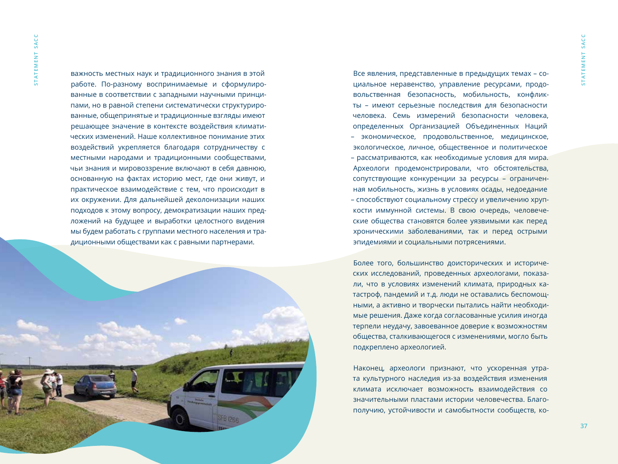**s t a t e m e n t s a c c**

STATEMENT SACC

важность местных наук и традиционного знания в этой работе. По-разному воспринимаемые и сформулированные в соответствии с западными научными принципами, но в равной степени систематически структурированные, общепринятые и традиционные взгляды имеют решающее значение в контексте воздействия климатических изменений. Наше коллективное понимание этих воздействий укрепляется благодаря сотрудничеству с местными народами и традиционными сообществами, чьи знания и мировоззрение включают в себя давнюю, основанную на фактах историю мест, где они живут, и практическое взаимодействие с тем, что происходит в их окружении. Для дальнейшей деколонизации наших подходов к этому вопросу, демократизации наших предложений на будущее и выработки целостного видения мы будем работать с группами местного населения и традиционными обществами как с равными партнерами.



Все явления, представленные в предыдущих темах – социальное неравенство, управление ресурсами, продовольственная безопасность, мобильность, конфликты – имеют серьезные последствия для безопасности человека. Семь измерений безопасности человека, определенных Организацией Объединенных Наций – экономическое, продовольственное, медицинское, экологическое, личное, общественное и политическое – рассматриваются, как необходимые условия для мира. Археологи продемонстрировали, что обстоятельства, сопутствующие конкуренции за ресурсы – ограниченная мобильность, жизнь в условиях осады, недоедание – способствуют социальному стрессу и увеличению хрупкости иммунной системы. В свою очередь, человеческие общества становятся более уязвимыми как перед хроническими заболеваниями, так и перед острыми эпидемиями и социальными потрясениями.

Более того, большинство доисторических и исторических исследований, проведенных археологами, показали, что в условиях изменений климата, природных катастроф, пандемий и т.д. люди не оставались беспомощными, а активно и творчески пытались найти необходимые решения. Даже когда согласованные усилия иногда терпели неудачу, завоеванное доверие к возможностям общества, сталкивающегося с изменениями, могло быть подкреплено археологией.

Наконец, археологи признают, что ускоренная утрата культурного наследия из-за воздействия изменения климата исключает возможность взаимодействия со значительными пластами истории человечества. Благополучию, устойчивости и самобытности сообществ, ко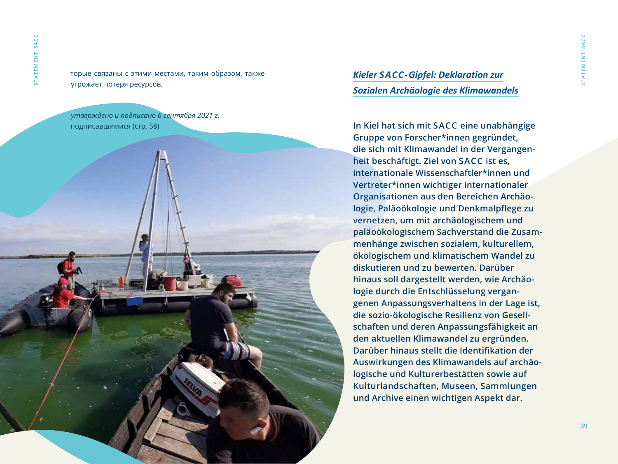торые связаны с этими местами, таким образом, также угрожает потеря ресурсов.

*утверждено и подписано 6 сентября 2021 г.*  подписавшимися (стр. 58)



## *Kieler SACC-Gipfel: Deklaration zur Sozialen Archäologie des Klimawandels*

**In Kiel hat sich mit SACC eine unabhängige Gruppe von Forscher\*innen gegründet, die sich mit Klimawandel in der Vergangenheit beschäftigt. Ziel von SACC ist es, internationale Wissenschaftler\*innen und Vertreter\*innen wichtiger internationaler Organisationen aus den Bereichen Archäologie, Paläoökologie und Denkmalpflege zu vernetzen, um mit archäologischem und paläoökologischem Sachverstand die Zusammenhänge zwischen sozialem, kulturellem, ökologischem und klimatischem Wandel zu diskutieren und zu bewerten. Darüber hinaus soll dargestellt werden, wie Archäologie durch die Entschlüsselung vergangenen Anpassungsverhaltens in der Lage ist, die sozio-ökologische Resilienz von Gesellschaften und deren Anpassungsfähigkeit an den aktuellen Klimawandel zu ergründen. Darüber hinaus stellt die Identifikation der Auswirkungen des Klimawandels auf archäologische und Kulturerbestätten sowie auf Kulturlandschaften, Museen, Sammlungen und Archive einen wichtigen Aspekt dar.**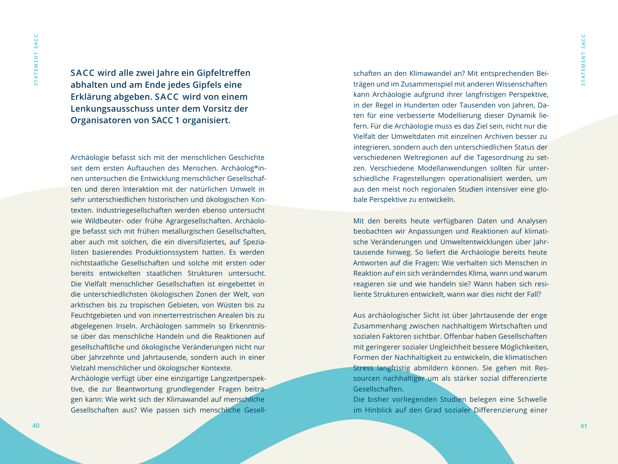**SACC wird alle zwei Jahre ein Gipfeltreffen abhalten und am Ende jedes Gipfels eine Erklärung abgeben. SACC wird von einem Lenkungsausschuss unter dem Vorsitz der Organisatoren von SACC 1 organisiert.**

Archäologie befasst sich mit der menschlichen Geschichte seit dem ersten Auftauchen des Menschen. Archäolog\*innen untersuchen die Entwicklung menschlicher Gesellschaften und deren Interaktion mit der natürlichen Umwelt in sehr unterschiedlichen historischen und ökologischen Kontexten. Industriegesellschaften werden ebenso untersucht wie Wildbeuter- oder frühe Agrargesellschaften. Archäologie befasst sich mit frühen metallurgischen Gesellschaften, aber auch mit solchen, die ein diversifiziertes, auf Spezialisten basierendes Produktionssystem hatten. Es werden nichtstaatliche Gesellschaften und solche mit ersten oder bereits entwickelten staatlichen Strukturen untersucht. Die Vielfalt menschlicher Gesellschaften ist eingebettet in die unterschiedlichsten ökologischen Zonen der Welt, von arktischen bis zu tropischen Gebieten, von Wüsten bis zu Feuchtgebieten und von innerterrestrischen Arealen bis zu abgelegenen Inseln. Archäologen sammeln so Erkenntnisse über das menschliche Handeln und die Reaktionen auf gesellschaftliche und ökologische Veränderungen nicht nur über Jahrzehnte und Jahrtausende, sondern auch in einer Vielzahl menschlicher und ökologischer Kontexte. Archäologie verfügt über eine einzigartige Langzeitperspektive, die zur Beantwortung grundlegender Fragen beitragen kann: Wie wirkt sich der Klimawandel auf menschliche Gesellschaften aus? Wie passen sich menschliche Gesell-

schaften an den Klimawandel an? Mit entsprechenden Beiträgen und im Zusammenspiel mit anderen Wissenschaften kann Archäologie aufgrund ihrer langfristigen Perspektive, in der Regel in Hunderten oder Tausenden von Jahren, Daten für eine verbesserte Modellierung dieser Dynamik liefern. Für die Archäologie muss es das Ziel sein, nicht nur die Vielfalt der Umweltdaten mit einzelnen Archiven besser zu integrieren, sondern auch den unterschiedlichen Status der verschiedenen Weltregionen auf die Tagesordnung zu setzen. Verschiedene Modellanwendungen sollten für unterschiedliche Fragestellungen operationalisiert werden, um aus den meist noch regionalen Studien intensiver eine globale Perspektive zu entwickeln.

Mit den bereits heute verfügbaren Daten und Analysen beobachten wir Anpassungen und Reaktionen auf klimatische Veränderungen und Umweltentwicklungen über Jahrtausende hinweg. So liefert die Archäologie bereits heute Antworten auf die Fragen: Wie verhalten sich Menschen in Reaktion auf ein sich veränderndes Klima, wann und warum reagieren sie und wie handeln sie? Wann haben sich resiliente Strukturen entwickelt, wann war dies nicht der Fall?

Aus archäologischer Sicht ist über Jahrtausende der enge Zusammenhang zwischen nachhaltigem Wirtschaften und sozialen Faktoren sichtbar. Offenbar haben Gesellschaften mit geringerer sozialer Ungleichheit bessere Möglichkeiten, Formen der Nachhaltigkeit zu entwickeln, die klimatischen Stress langfristig abmildern können. Sie gehen mit Ressourcen nachhaltiger um als stärker sozial differenzierte Gesellschaften.

Die bisher vorliegenden Studien belegen eine Schwelle im Hinblick auf den Grad sozialer Differenzierung einer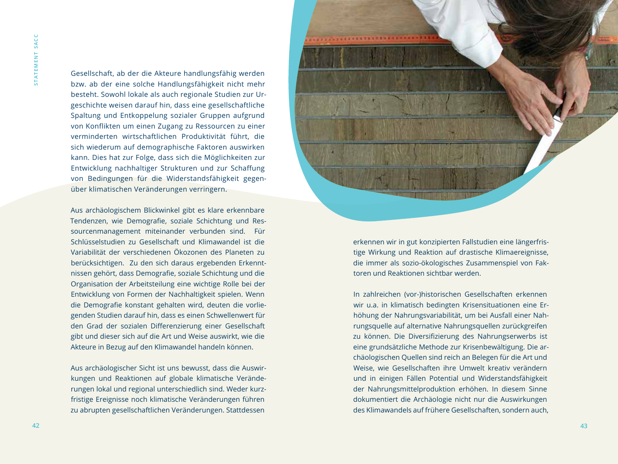Gesellschaft, ab der die Akteure handlungsfähig werden bzw. ab der eine solche Handlungsfähigkeit nicht mehr besteht. Sowohl lokale als auch regionale Studien zur Urgeschichte weisen darauf hin, dass eine gesellschaftliche Spaltung und Entkoppelung sozialer Gruppen aufgrund von Konflikten um einen Zugang zu Ressourcen zu einer verminderten wirtschaftlichen Produktivität führt, die sich wiederum auf demographische Faktoren auswirken kann. Dies hat zur Folge, dass sich die Möglichkeiten zur Entwicklung nachhaltiger Strukturen und zur Schaffung von Bedingungen für die Widerstandsfähigkeit gegenüber klimatischen Veränderungen verringern.

Aus archäologischem Blickwinkel gibt es klare erkennbare Tendenzen, wie Demografie, soziale Schichtung und Ressourcenmanagement miteinander verbunden sind. Für Schlüsselstudien zu Gesellschaft und Klimawandel ist die Variabilität der verschiedenen Ökozonen des Planeten zu berücksichtigen. Zu den sich daraus ergebenden Erkenntnissen gehört, dass Demografie, soziale Schichtung und die Organisation der Arbeitsteilung eine wichtige Rolle bei der Entwicklung von Formen der Nachhaltigkeit spielen. Wenn die Demografie konstant gehalten wird, deuten die vorliegenden Studien darauf hin, dass es einen Schwellenwert für den Grad der sozialen Differenzierung einer Gesellschaft gibt und dieser sich auf die Art und Weise auswirkt, wie die Akteure in Bezug auf den Klimawandel handeln können.

Aus archäologischer Sicht ist uns bewusst, dass die Auswirkungen und Reaktionen auf globale klimatische Veränderungen lokal und regional unterschiedlich sind. Weder kurzfristige Ereignisse noch klimatische Veränderungen führen zu abrupten gesellschaftlichen Veränderungen. Stattdessen

**s t a t e m e n t s a c c**

erkennen wir in gut konzipierten Fallstudien eine längerfristige Wirkung und Reaktion auf drastische Klimaereignisse, die immer als sozio-ökologisches Zusammenspiel von Faktoren und Reaktionen sichtbar werden.

In zahlreichen (vor-)historischen Gesellschaften erkennen wir u.a. in klimatisch bedingten Krisensituationen eine Erhöhung der Nahrungsvariabilität, um bei Ausfall einer Nahrungsquelle auf alternative Nahrungsquellen zurückgreifen zu können. Die Diversifizierung des Nahrungserwerbs ist eine grundsätzliche Methode zur Krisenbewältigung. Die archäologischen Quellen sind reich an Belegen für die Art und Weise, wie Gesellschaften ihre Umwelt kreativ verändern und in einigen Fällen Potential und Widerstandsfähigkeit der Nahrungsmittelproduktion erhöhen. In diesem Sinne dokumentiert die Archäologie nicht nur die Auswirkungen des Klimawandels auf frühere Gesellschaften, sondern auch,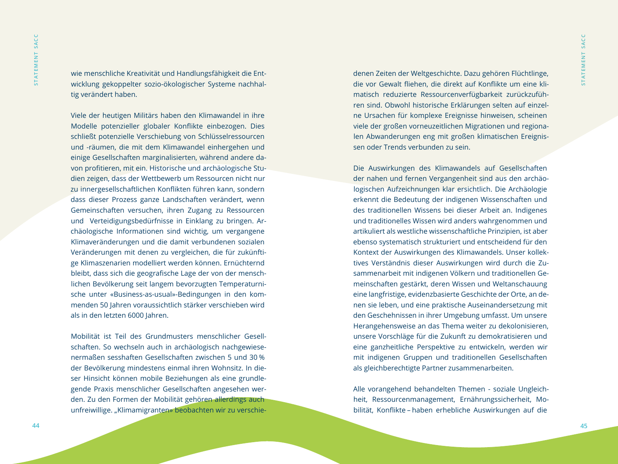wie menschliche Kreativität und Handlungsfähigkeit die Entwicklung gekoppelter sozio-ökologischer Systeme nachhaltig verändert haben.

Viele der heutigen Militärs haben den Klimawandel in ihre Modelle potenzieller globaler Konflikte einbezogen. Dies schließt potenzielle Verschiebung von Schlüsselressourcen und -räumen, die mit dem Klimawandel einhergehen und einige Gesellschaften marginalisierten, während andere davon profitieren, mit ein. Historische und archäologische Studien zeigen, dass der Wettbewerb um Ressourcen nicht nur zu innergesellschaftlichen Konflikten führen kann, sondern dass dieser Prozess ganze Landschaften verändert, wenn Gemeinschaften versuchen, ihren Zugang zu Ressourcen und Verteidigungsbedürfnisse in Einklang zu bringen. Archäologische Informationen sind wichtig, um vergangene Klimaveränderungen und die damit verbundenen sozialen Veränderungen mit denen zu vergleichen, die für zukünftige Klimaszenarien modelliert werden können. Ernüchternd bleibt, dass sich die geografische Lage der von der menschlichen Bevölkerung seit langem bevorzugten Temperaturnische unter «Business-as-usual»-Bedingungen in den kommenden 50 Jahren voraussichtlich stärker verschieben wird als in den letzten 6000 Jahren.

Mobilität ist Teil des Grundmusters menschlicher Gesellschaften. So wechseln auch in archäologisch nachgewiesenermaßen sesshaften Gesellschaften zwischen 5 und 30 % der Bevölkerung mindestens einmal ihren Wohnsitz. In dieser Hinsicht können mobile Beziehungen als eine grundlegende Praxis menschlicher Gesellschaften angesehen werden. Zu den Formen der Mobilität gehören allerdings auch unfreiwillige. "Klimamigranten» beobachten wir zu verschie-

denen Zeiten der Weltgeschichte. Dazu gehören Flüchtlinge, die vor Gewalt fliehen, die direkt auf Konflikte um eine klimatisch reduzierte Ressourcenverfügbarkeit zurückzuführen sind. Obwohl historische Erklärungen selten auf einzelne Ursachen für komplexe Ereignisse hinweisen, scheinen viele der großen vorneuzeitlichen Migrationen und regionalen Abwanderungen eng mit großen klimatischen Ereignissen oder Trends verbunden zu sein.

Die Auswirkungen des Klimawandels auf Gesellschaften der nahen und fernen Vergangenheit sind aus den archäologischen Aufzeichnungen klar ersichtlich. Die Archäologie erkennt die Bedeutung der indigenen Wissenschaften und des traditionellen Wissens bei dieser Arbeit an. Indigenes und traditionelles Wissen wird anders wahrgenommen und artikuliert als westliche wissenschaftliche Prinzipien, ist aber ebenso systematisch strukturiert und entscheidend für den Kontext der Auswirkungen des Klimawandels. Unser kollektives Verständnis dieser Auswirkungen wird durch die Zusammenarbeit mit indigenen Völkern und traditionellen Gemeinschaften gestärkt, deren Wissen und Weltanschauung eine langfristige, evidenzbasierte Geschichte der Orte, an denen sie leben, und eine praktische Auseinandersetzung mit den Geschehnissen in ihrer Umgebung umfasst. Um unsere Herangehensweise an das Thema weiter zu dekolonisieren, unsere Vorschläge für die Zukunft zu demokratisieren und eine ganzheitliche Perspektive zu entwickeln, werden wir mit indigenen Gruppen und traditionellen Gesellschaften als gleichberechtigte Partner zusammenarbeiten.

Alle vorangehend behandelten Themen - soziale Ungleichheit, Ressourcenmanagement, Ernährungssicherheit, Mobilität, Konflikte – haben erhebliche Auswirkungen auf die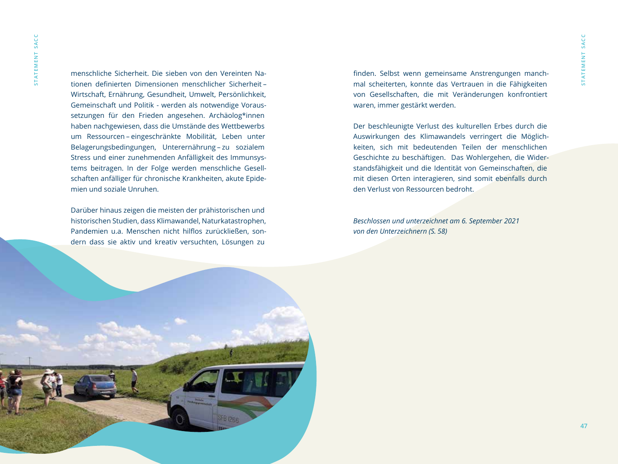STATEMENT SACC **s t a t e m e n t s a c c**

menschliche Sicherheit. Die sieben von den Vereinten Nationen definierten Dimensionen menschlicher Sicherheit – Wirtschaft, Ernährung, Gesundheit, Umwelt, Persönlichkeit, Gemeinschaft und Politik - werden als notwendige Voraussetzungen für den Frieden angesehen. Archäolog\*innen haben nachgewiesen, dass die Umstände des Wettbewerbs um Ressourcen – eingeschränkte Mobilität, Leben unter Belagerungsbedingungen, Unterernährung – zu sozialem Stress und einer zunehmenden Anfälligkeit des Immunsystems beitragen. In der Folge werden menschliche Gesellschaften anfälliger für chronische Krankheiten, akute Epidemien und soziale Unruhen.

Darüber hinaus zeigen die meisten der prähistorischen und historischen Studien, dass Klimawandel, Naturkatastrophen, Pandemien u.a. Menschen nicht hilflos zurückließen, sondern dass sie aktiv und kreativ versuchten, Lösungen zu

finden. Selbst wenn gemeinsame Anstrengungen manchmal scheiterten, konnte das Vertrauen in die Fähigkeiten von Gesellschaften, die mit Veränderungen konfrontiert waren, immer gestärkt werden.

Der beschleunigte Verlust des kulturellen Erbes durch die Auswirkungen des Klimawandels verringert die Möglichkeiten, sich mit bedeutenden Teilen der menschlichen Geschichte zu beschäftigen. Das Wohlergehen, die Widerstandsfähigkeit und die Identität von Gemeinschaften, die mit diesen Orten interagieren, sind somit ebenfalls durch den Verlust von Ressourcen bedroht.

*Beschlossen und unterzeichnet am 6. September 2021 von den Unterzeichnern (S. 58)*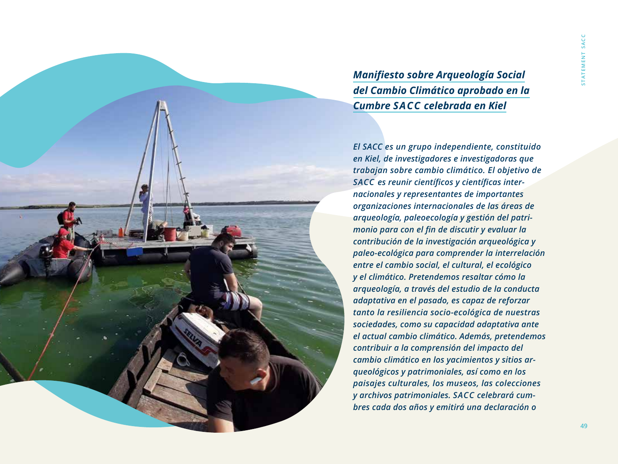*Manifiesto sobre Arqueología Social del Cambio Climático aprobado en la Cumbre SACC celebrada en Kiel*

*El SACC es un grupo independiente, constituido en Kiel, de investigadores e investigadoras que trabajan sobre cambio climático. El objetivo de SACC es reunir científicos y científicas internacionales y representantes de importantes organizaciones internacionales de las áreas de arqueología, paleoecología y gestión del patrimonio para con el fin de discutir y evaluar la contribución de la investigación arqueológica y paleo-ecológica para comprender la interrelación entre el cambio social, el cultural, el ecológico y el climático. Pretendemos resaltar cómo la arqueología, a través del estudio de la conducta adaptativa en el pasado, es capaz de reforzar tanto la resiliencia socio-ecológica de nuestras sociedades, como su capacidad adaptativa ante el actual cambio climático. Además, pretendemos contribuir a la comprensión del impacto del cambio climático en los yacimientos y sitios arqueológicos y patrimoniales, así como en los paisajes culturales, los museos, las colecciones y archivos patrimoniales. SACC celebrará cumbres cada dos años y emitirá una declaración o*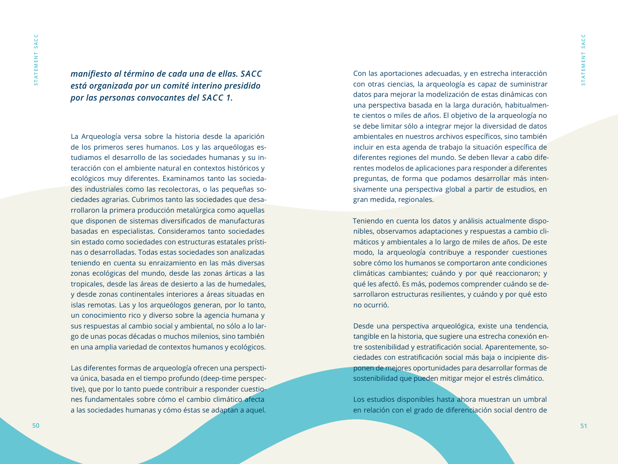*manifiesto al término de cada una de ellas. SACC está organizada por un comité interino presidido por las personas convocantes del SACC 1.*

La Arqueología versa sobre la historia desde la aparición de los primeros seres humanos. Los y las arqueólogas estudiamos el desarrollo de las sociedades humanas y su interacción con el ambiente natural en contextos históricos y ecológicos muy diferentes. Examinamos tanto las sociedades industriales como las recolectoras, o las pequeñas sociedades agrarias. Cubrimos tanto las sociedades que desarrollaron la primera producción metalúrgica como aquellas que disponen de sistemas diversificados de manufacturas basadas en especialistas. Consideramos tanto sociedades sin estado como sociedades con estructuras estatales prístinas o desarrolladas. Todas estas sociedades son analizadas teniendo en cuenta su enraizamiento en las más diversas zonas ecológicas del mundo, desde las zonas árticas a las tropicales, desde las áreas de desierto a las de humedales, y desde zonas continentales interiores a áreas situadas en islas remotas. Las y los arqueólogos generan, por lo tanto, un conocimiento rico y diverso sobre la agencia humana y sus respuestas al cambio social y ambiental, no sólo a lo largo de unas pocas décadas o muchos milenios, sino también en una amplia variedad de contextos humanos y ecológicos.

Las diferentes formas de arqueología ofrecen una perspectiva única, basada en el tiempo profundo (deep-time perspective), que por lo tanto puede contribuir a responder cuestiones fundamentales sobre cómo el cambio climático afecta a las sociedades humanas y cómo éstas se adaptan a aquel. Con las aportaciones adecuadas, y en estrecha interacción con otras ciencias, la arqueología es capaz de suministrar datos para mejorar la modelización de estas dinámicas con una perspectiva basada en la larga duración, habitualmente cientos o miles de años. El objetivo de la arqueología no se debe limitar sólo a integrar mejor la diversidad de datos ambientales en nuestros archivos específicos, sino también incluir en esta agenda de trabajo la situación específica de diferentes regiones del mundo. Se deben llevar a cabo diferentes modelos de aplicaciones para responder a diferentes preguntas, de forma que podamos desarrollar más intensivamente una perspectiva global a partir de estudios, en gran medida, regionales.

Teniendo en cuenta los datos y análisis actualmente disponibles, observamos adaptaciones y respuestas a cambio climáticos y ambientales a lo largo de miles de años. De este modo, la arqueología contribuye a responder cuestiones sobre cómo los humanos se comportaron ante condiciones climáticas cambiantes; cuándo y por qué reaccionaron; y qué les afectó. Es más, podemos comprender cuándo se desarrollaron estructuras resilientes, y cuándo y por qué esto no ocurrió.

Desde una perspectiva arqueológica, existe una tendencia, tangible en la historia, que sugiere una estrecha conexión entre sostenibilidad y estratificación social. Aparentemente, sociedades con estratificación social más baja o incipiente disponen de mejores oportunidades para desarrollar formas de sostenibilidad que pueden mitigar mejor el estrés climático.

Los estudios disponibles hasta ahora muestran un umbral en relación con el grado de diferenciación social dentro de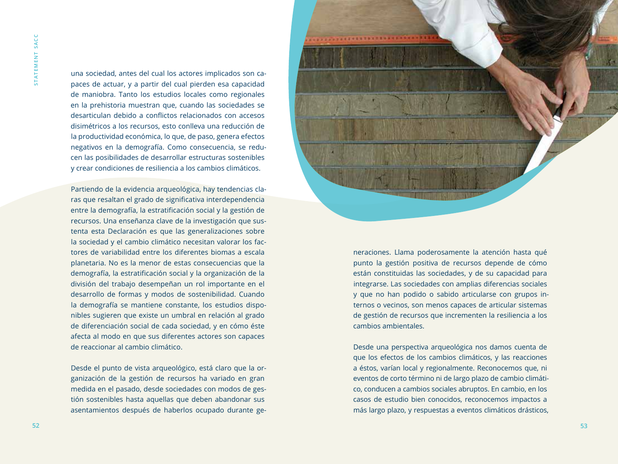una sociedad, antes del cual los actores implicados son capaces de actuar, y a partir del cual pierden esa capacidad de maniobra. Tanto los estudios locales como regionales en la prehistoria muestran que, cuando las sociedades se desarticulan debido a conflictos relacionados con accesos disimétricos a los recursos, esto conlleva una reducción de la productividad económica, lo que, de paso, genera efectos negativos en la demografía. Como consecuencia, se reducen las posibilidades de desarrollar estructuras sostenibles y crear condiciones de resiliencia a los cambios climáticos.

Partiendo de la evidencia arqueológica, hay tendencias claras que resaltan el grado de significativa interdependencia entre la demografía, la estratificación social y la gestión de recursos. Una enseñanza clave de la investigación que sustenta esta Declaración es que las generalizaciones sobre la sociedad y el cambio climático necesitan valorar los factores de variabilidad entre los diferentes biomas a escala planetaria. No es la menor de estas consecuencias que la demografía, la estratificación social y la organización de la división del trabajo desempeñan un rol importante en el desarrollo de formas y modos de sostenibilidad. Cuando la demografía se mantiene constante, los estudios disponibles sugieren que existe un umbral en relación al grado de diferenciación social de cada sociedad, y en cómo éste afecta al modo en que sus diferentes actores son capaces de reaccionar al cambio climático.

Desde el punto de vista arqueológico, está claro que la organización de la gestión de recursos ha variado en gran medida en el pasado, desde sociedades con modos de gestión sostenibles hasta aquellas que deben abandonar sus asentamientos después de haberlos ocupado durante ge-



neraciones. Llama poderosamente la atención hasta qué punto la gestión positiva de recursos depende de cómo están constituidas las sociedades, y de su capacidad para integrarse. Las sociedades con amplias diferencias sociales y que no han podido o sabido articularse con grupos internos o vecinos, son menos capaces de articular sistemas de gestión de recursos que incrementen la resiliencia a los cambios ambientales.

Desde una perspectiva arqueológica nos damos cuenta de que los efectos de los cambios climáticos, y las reacciones a éstos, varían local y regionalmente. Reconocemos que, ni eventos de corto término ni de largo plazo de cambio climático, conducen a cambios sociales abruptos. En cambio, en los casos de estudio bien conocidos, reconocemos impactos a más largo plazo, y respuestas a eventos climáticos drásticos,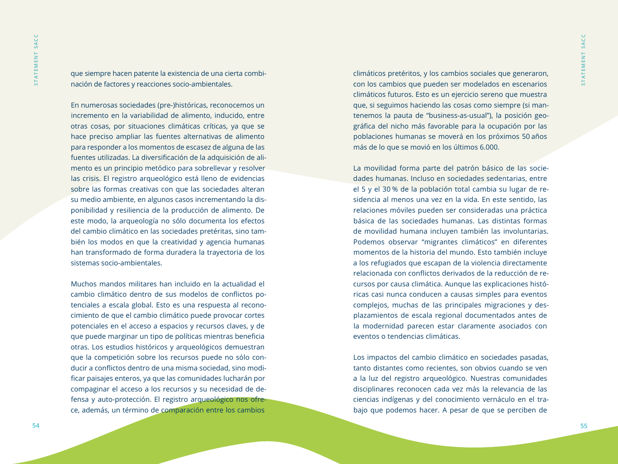que siempre hacen patente la existencia de una cierta combinación de factores y reacciones socio-ambientales.

En numerosas sociedades (pre-)históricas, reconocemos un incremento en la variabilidad de alimento, inducido, entre otras cosas, por situaciones climáticas críticas, ya que se hace preciso ampliar las fuentes alternativas de alimento para responder a los momentos de escasez de alguna de las fuentes utilizadas. La diversificación de la adquisición de alimento es un principio metódico para sobrellevar y resolver las crisis. El registro arqueológico está lleno de evidencias sobre las formas creativas con que las sociedades alteran su medio ambiente, en algunos casos incrementando la disponibilidad y resiliencia de la producción de alimento. De este modo, la arqueología no sólo documenta los efectos del cambio climático en las sociedades pretéritas, sino también los modos en que la creatividad y agencia humanas han transformado de forma duradera la trayectoria de los sistemas socio-ambientales.

Muchos mandos militares han incluido en la actualidad el cambio climático dentro de sus modelos de conflictos potenciales a escala global. Esto es una respuesta al reconocimiento de que el cambio climático puede provocar cortes potenciales en el acceso a espacios y recursos claves, y de que puede marginar un tipo de políticas mientras beneficia otras. Los estudios históricos y arqueológicos demuestran que la competición sobre los recursos puede no sólo conducir a conflictos dentro de una misma sociedad, sino modificar paisajes enteros, ya que las comunidades lucharán por compaginar el acceso a los recursos y su necesidad de defensa y auto-protección. El registro arqueológico nos ofrece, además, un término de comparación entre los cambios

climáticos pretéritos, y los cambios sociales que generaron, con los cambios que pueden ser modelados en escenarios climáticos futuros. Esto es un ejercicio sereno que muestra que, si seguimos haciendo las cosas como siempre (si mantenemos la pauta de "business-as-usual"), la posición geográfica del nicho más favorable para la ocupación por las poblaciones humanas se moverá en los próximos 50 años más de lo que se movió en los últimos 6.000.

La movilidad forma parte del patrón básico de las sociedades humanas. Incluso en sociedades sedentarias, entre el 5 y el 30 % de la población total cambia su lugar de residencia al menos una vez en la vida. En este sentido, las relaciones móviles pueden ser consideradas una práctica básica de las sociedades humanas. Las distintas formas de movilidad humana incluyen también las involuntarias. Podemos observar "migrantes climáticos" en diferentes momentos de la historia del mundo. Esto también incluye a los refugiados que escapan de la violencia directamente relacionada con conflictos derivados de la reducción de recursos por causa climática. Aunque las explicaciones históricas casi nunca conducen a causas simples para eventos complejos, muchas de las principales migraciones y desplazamientos de escala regional documentados antes de la modernidad parecen estar claramente asociados con eventos o tendencias climáticas.

Los impactos del cambio climático en sociedades pasadas, tanto distantes como recientes, son obvios cuando se ven a la luz del registro arqueológico. Nuestras comunidades disciplinares reconocen cada vez más la relevancia de las ciencias indígenas y del conocimiento vernáculo en el trabajo que podemos hacer. A pesar de que se perciben de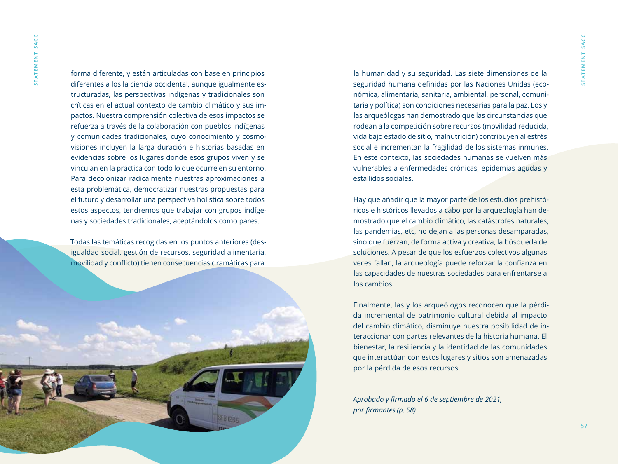forma diferente, y están articuladas con base en principios diferentes a los la ciencia occidental, aunque igualmente estructuradas, las perspectivas indígenas y tradicionales son críticas en el actual contexto de cambio climático y sus impactos. Nuestra comprensión colectiva de esos impactos se refuerza a través de la colaboración con pueblos indígenas y comunidades tradicionales, cuyo conocimiento y cosmovisiones incluyen la larga duración e historias basadas en evidencias sobre los lugares donde esos grupos viven y se vinculan en la práctica con todo lo que ocurre en su entorno. Para decolonizar radicalmente nuestras aproximaciones a esta problemática, democratizar nuestras propuestas para el futuro y desarrollar una perspectiva holística sobre todos estos aspectos, tendremos que trabajar con grupos indígenas y sociedades tradicionales, aceptándolos como pares.

Todas las temáticas recogidas en los puntos anteriores (desigualdad social, gestión de recursos, seguridad alimentaria, movilidad y conflicto) tienen consecuencias dramáticas para



la humanidad y su seguridad. Las siete dimensiones de la seguridad humana definidas por las Naciones Unidas (económica, alimentaria, sanitaria, ambiental, personal, comunitaria y política) son condiciones necesarias para la paz. Los y las arqueólogas han demostrado que las circunstancias que rodean a la competición sobre recursos (movilidad reducida, vida bajo estado de sitio, malnutrición) contribuyen al estrés social e incrementan la fragilidad de los sistemas inmunes. En este contexto, las sociedades humanas se vuelven más vulnerables a enfermedades crónicas, epidemias agudas y estallidos sociales.

Hay que añadir que la mayor parte de los estudios prehistóricos e históricos llevados a cabo por la arqueología han demostrado que el cambio climático, las catástrofes naturales, las pandemias, etc, no dejan a las personas desamparadas, sino que fuerzan, de forma activa y creativa, la búsqueda de soluciones. A pesar de que los esfuerzos colectivos algunas veces fallan, la arqueología puede reforzar la confianza en las capacidades de nuestras sociedades para enfrentarse a los cambios.

Finalmente, las y los arqueólogos reconocen que la pérdida incremental de patrimonio cultural debida al impacto del cambio climático, disminuye nuestra posibilidad de interaccionar con partes relevantes de la historia humana. El bienestar, la resiliencia y la identidad de las comunidades que interactúan con estos lugares y sitios son amenazadas por la pérdida de esos recursos.

*Aprobado y firmado el 6 de septiembre de 2021, por firmantes (p. 58)*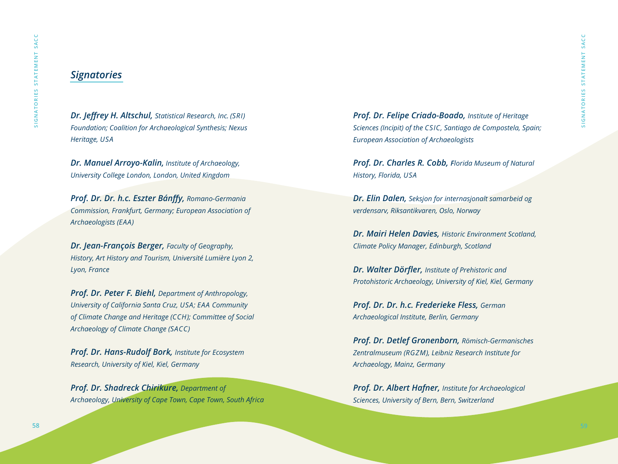### *Signatories*

*Dr. Jeffrey H. Altschul, Statistical Research, Inc. (SRI) Foundation; Coalition for Archaeological Synthesis; Nexus Heritage, USA*

*Dr. Manuel Arroyo-Kalin, Institute of Archaeology, University College London, London, United Kingdom*

*Prof. Dr. Dr. h.c. Eszter Bánffy, Romano-Germania Commission, Frankfurt, Germany; European Association of Archaeologists (EAA)*

*Dr. Jean-François Berger, Faculty of Geography, History, Art History and Tourism, Université Lumière Lyon 2, Lyon, France*

*Prof. Dr. Peter F. Biehl, Department of Anthropology, University of California Santa Cruz, USA; EAA Community of Climate Change and Heritage (CCH); Committee of Social Archaeology of Climate Change (SACC)*

*Prof. Dr. Hans-Rudolf Bork, Institute for Ecosystem Research, University of Kiel, Kiel, Germany*

*Prof. Dr. Shadreck Chirikure, Department of Archaeology, University of Cape Town, Cape Town, South Africa* *Prof. Dr. Felipe Criado-Boado, Institute of Heritage Sciences (Incipit) of the CSIC, Santiago de Compostela, Spain; European Association of Archaeologists*

*Prof. Dr. Charles R. Cobb, Florida Museum of Natural History, Florida, USA*

*Dr. Elin Dalen, Seksjon for internasjonalt samarbeid og verdensarv, Riksantikvaren, Oslo, Norway*

*Dr. Mairi Helen Davies, Historic Environment Scotland, Climate Policy Manager, Edinburgh, Scotland*

*Dr. Walter Dörfler, Institute of Prehistoric and Protohistoric Archaeology, University of Kiel, Kiel, Germany*

*Prof. Dr. Dr. h.c. Frederieke Fless, German Archaeological Institute, Berlin, Germany*

*Prof. Dr. Detlef Gronenborn, Römisch-Germanisches Zentralmuseum (RGZM), Leibniz Research Institute for Archaeology, Mainz, Germany*

*Prof. Dr. Albert Hafner, Institute for Archaeological Sciences, University of Bern, Bern, Switzerland*

SIGNATORIES STATEMENT SACC

SIGNATORIES STATEMENT

SACC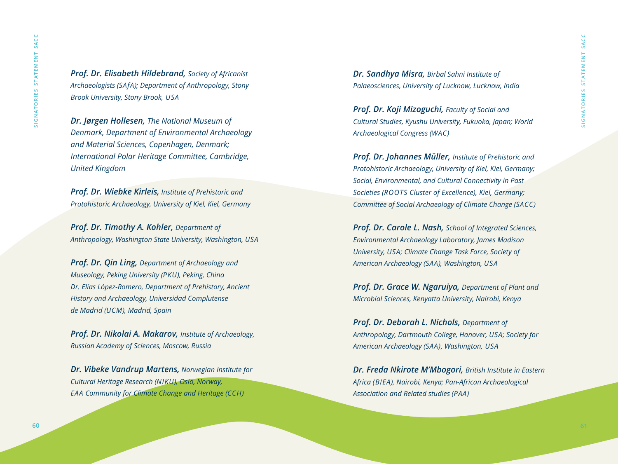*Prof. Dr. Elisabeth Hildebrand, Society of Africanist Archaeologists (SAfA); Department of Anthropology, Stony Brook University, Stony Brook, USA*

*Dr. Jørgen Hollesen, The National Museum of Denmark, Department of Environmental Archaeology and Material Sciences, Copenhagen, Denmark; International Polar Heritage Committee, Cambridge, United Kingdom*

*Prof. Dr. Wiebke Kirleis, Institute of Prehistoric and Protohistoric Archaeology, University of Kiel, Kiel, Germany*

*Prof. Dr. Timothy A. Kohler, Department of Anthropology, Washington State University, Washington, USA*

*Prof. Dr. Qin Ling, Department of Archaeology and Museology, Peking University (PKU), Peking, China Dr. Elías López-Romero, Department of Prehistory, Ancient History and Archaeology, Universidad Complutense de Madrid (UCM), Madrid, Spain*

*Prof. Dr. Nikolai A. Makarov, Institute of Archaeology, Russian Academy of Sciences, Moscow, Russia*

*Dr. Vibeke Vandrup Martens, Norwegian Institute for Cultural Heritage Research (NIKU), Oslo, Norway, EAA Community for Climate Change and Heritage (CCH)*

*Dr. Sandhya Misra, Birbal Sahni Institute of Palaeosciences, University of Lucknow, Lucknow, India*

*Prof. Dr. Koji Mizoguchi, Faculty of Social and Cultural Studies, Kyushu University, Fukuoka, Japan; World Archaeological Congress (WAC)*

*Prof. Dr. Johannes Müller, Institute of Prehistoric and Protohistoric Archaeology, University of Kiel, Kiel, Germany; Social, Environmental, and Cultural Connectivity in Past Societies (ROOTS Cluster of Excellence), Kiel, Germany; Committee of Social Archaeology of Climate Change (SACC)*

*Prof. Dr. Carole L. Nash, School of Integrated Sciences, Environmental Archaeology Laboratory, James Madison University, USA; Climate Change Task Force, Society of American Archaeology (SAA), Washington, USA*

*Prof. Dr. Grace W. Ngaruiya, Department of Plant and Microbial Sciences, Kenyatta University, Nairobi, Kenya*

*Prof. Dr. Deborah L. Nichols, Department of Anthropology, Dartmouth College, Hanover, USA; Society for American Archaeology (SAA), Washington, USA*

*Dr. Freda Nkirote M'Mbogori, British Institute in Eastern Africa (BIEA), Nairobi, Kenya; Pan-African Archaeological Association and Related studies (PAA)*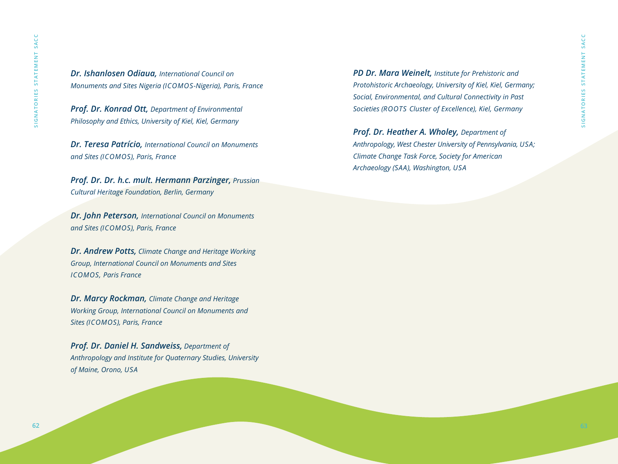*Dr. Ishanlosen Odiaua, International Council on Monuments and Sites Nigeria (ICOMOS-Nigeria), Paris, France*

*Prof. Dr. Konrad Ott, Department of Environmental Philosophy and Ethics, University of Kiel, Kiel, Germany*

*Dr. Teresa Patrício, International Council on Monuments and Sites (ICOMOS), Paris, France*

*Prof. Dr. Dr. h.c. mult. Hermann Parzinger, Prussian Cultural Heritage Foundation, Berlin, Germany*

*Dr. John Peterson, International Council on Monuments and Sites (ICOMOS), Paris, France*

*Dr. Andrew Potts, Climate Change and Heritage Working Group, International Council on Monuments and Sites ICOMOS, Paris France*

*Dr. Marcy Rockman, Climate Change and Heritage Working Group, International Council on Monuments and Sites (ICOMOS), Paris, France*

*Prof. Dr. Daniel H. Sandweiss, Department of Anthropology and Institute for Quaternary Studies, University of Maine, Orono, USA*

*PD Dr. Mara Weinelt, Institute for Prehistoric and Protohistoric Archaeology, University of Kiel, Kiel, Germany; Social, Environmental, and Cultural Connectivity in Past Societies (ROOTS Cluster of Excellence), Kiel, Germany*

*Prof. Dr. Heather A. Wholey, Department of Anthropology, West Chester University of Pennsylvania, USA; Climate Change Task Force, Society for American Archaeology (SAA), Washington, USA*

SIGNATORIES STATEMENT SACC

SIGNATORIES STATEMENT SACC